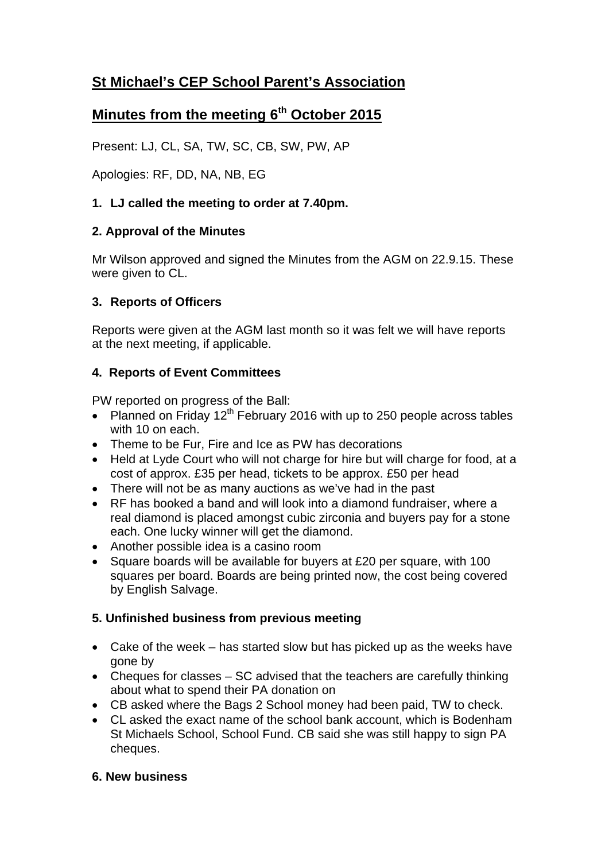# **St Michael's CEP School Parent's Association**

# **Minutes from the meeting 6th October 2015**

Present: LJ, CL, SA, TW, SC, CB, SW, PW, AP

Apologies: RF, DD, NA, NB, EG

## **1. LJ called the meeting to order at 7.40pm.**

### **2. Approval of the Minutes**

Mr Wilson approved and signed the Minutes from the AGM on 22.9.15. These were given to CL.

### **3. Reports of Officers**

Reports were given at the AGM last month so it was felt we will have reports at the next meeting, if applicable.

## **4. Reports of Event Committees**

PW reported on progress of the Ball:

- Planned on Friday 12<sup>th</sup> February 2016 with up to 250 people across tables with 10 on each.
- Theme to be Fur. Fire and Ice as PW has decorations
- Held at Lyde Court who will not charge for hire but will charge for food, at a cost of approx. £35 per head, tickets to be approx. £50 per head
- There will not be as many auctions as we've had in the past
- RF has booked a band and will look into a diamond fundraiser, where a real diamond is placed amongst cubic zirconia and buyers pay for a stone each. One lucky winner will get the diamond.
- Another possible idea is a casino room
- Square boards will be available for buyers at £20 per square, with 100 squares per board. Boards are being printed now, the cost being covered by English Salvage.

## **5. Unfinished business from previous meeting**

- Cake of the week has started slow but has picked up as the weeks have gone by
- Cheques for classes  $-$  SC advised that the teachers are carefully thinking about what to spend their PA donation on
- CB asked where the Bags 2 School money had been paid, TW to check.
- CL asked the exact name of the school bank account, which is Bodenham St Michaels School, School Fund. CB said she was still happy to sign PA cheques.

#### **6. New business**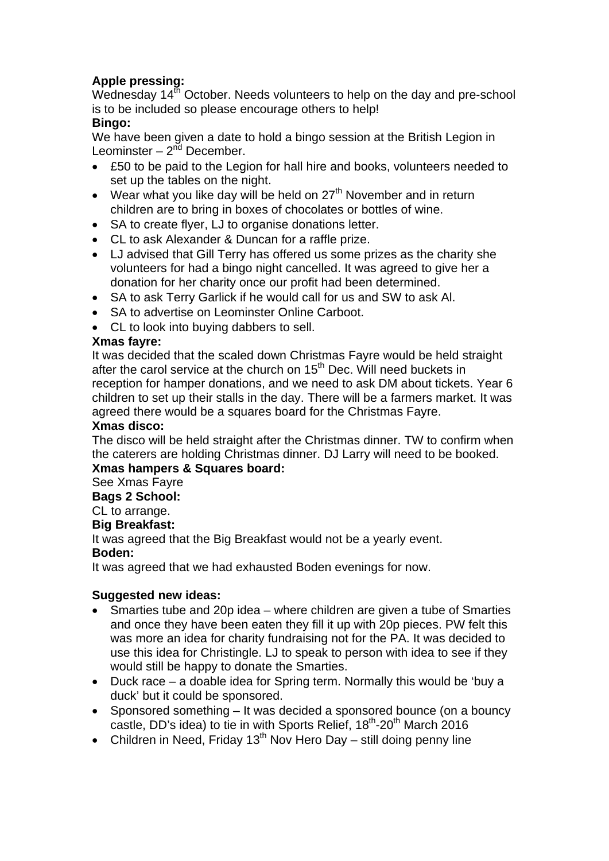## **Apple pressing:**

Wednesday 14<sup>th</sup> October. Needs volunteers to help on the day and pre-school is to be included so please encourage others to help!

#### **Bingo:**

We have been given a date to hold a bingo session at the British Legion in Leominster –  $2^{nd}$  December.

- £50 to be paid to the Legion for hall hire and books, volunteers needed to set up the tables on the night.
- Wear what you like day will be held on  $27<sup>th</sup>$  November and in return children are to bring in boxes of chocolates or bottles of wine.
- SA to create flyer, LJ to organise donations letter.
- CL to ask Alexander & Duncan for a raffle prize.
- LJ advised that Gill Terry has offered us some prizes as the charity she volunteers for had a bingo night cancelled. It was agreed to give her a donation for her charity once our profit had been determined.
- SA to ask Terry Garlick if he would call for us and SW to ask Al.
- SA to advertise on Leominster Online Carboot.
- CL to look into buying dabbers to sell.

### **Xmas fayre:**

It was decided that the scaled down Christmas Fayre would be held straight after the carol service at the church on  $15<sup>th</sup>$  Dec. Will need buckets in reception for hamper donations, and we need to ask DM about tickets. Year 6 children to set up their stalls in the day. There will be a farmers market. It was agreed there would be a squares board for the Christmas Fayre.

#### **Xmas disco:**

The disco will be held straight after the Christmas dinner. TW to confirm when the caterers are holding Christmas dinner. DJ Larry will need to be booked. **Xmas hampers & Squares board:** 

## See Xmas Fayre

**Bags 2 School:** 

#### CL to arrange.

**Big Breakfast:** 

It was agreed that the Big Breakfast would not be a yearly event.

## **Boden:**

It was agreed that we had exhausted Boden evenings for now.

## **Suggested new ideas:**

- Smarties tube and 20p idea where children are given a tube of Smarties and once they have been eaten they fill it up with 20p pieces. PW felt this was more an idea for charity fundraising not for the PA. It was decided to use this idea for Christingle. LJ to speak to person with idea to see if they would still be happy to donate the Smarties.
- Duck race a doable idea for Spring term. Normally this would be 'buy a duck' but it could be sponsored.
- Sponsored something It was decided a sponsored bounce (on a bouncy castle, DD's idea) to tie in with Sports Relief,  $18<sup>th</sup>$ -20<sup>th</sup> March 2016
- Children in Need, Friday 13<sup>th</sup> Nov Hero Day still doing penny line